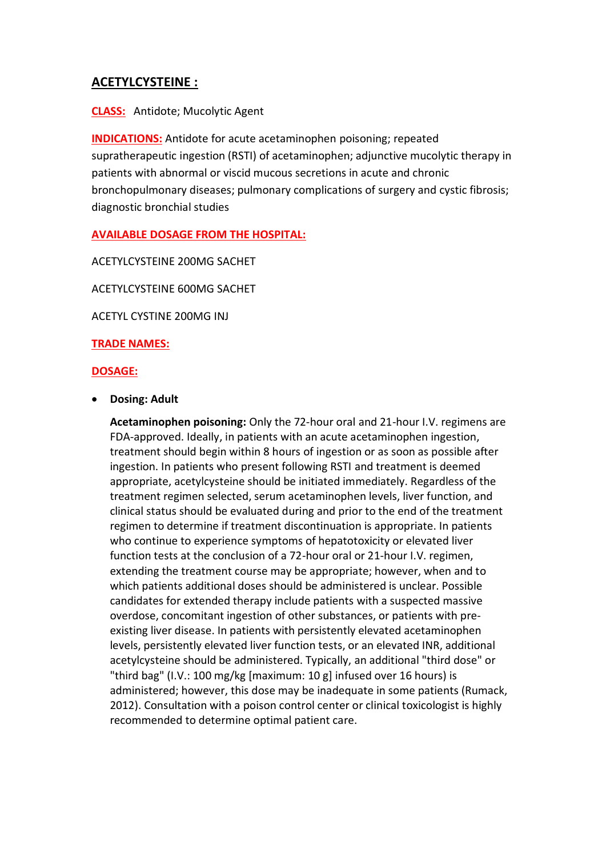# **ACETYLCYSTEINE :**

## **CLASS:** Antidote; Mucolytic Agent

**INDICATIONS:** Antidote for acute acetaminophen poisoning; repeated supratherapeutic ingestion (RSTI) of acetaminophen; adjunctive mucolytic therapy in patients with abnormal or viscid mucous secretions in acute and chronic bronchopulmonary diseases; pulmonary complications of surgery and cystic fibrosis; diagnostic bronchial studies

## **AVAILABLE DOSAGE FROM THE HOSPITAL:**

ACETYLCYSTEINE 200MG SACHET ACETYLCYSTEINE 600MG SACHET ACETYL CYSTINE 200MG INJ **TRADE NAMES:**

## **DOSAGE:**

**Dosing: Adult**

**Acetaminophen poisoning:** Only the 72-hour oral and 21-hour I.V. regimens are FDA-approved. Ideally, in patients with an acute acetaminophen ingestion, treatment should begin within 8 hours of ingestion or as soon as possible after ingestion. In patients who present following RSTI and treatment is deemed appropriate, acetylcysteine should be initiated immediately. Regardless of the treatment regimen selected, serum acetaminophen levels, liver function, and clinical status should be evaluated during and prior to the end of the treatment regimen to determine if treatment discontinuation is appropriate. In patients who continue to experience symptoms of hepatotoxicity or elevated liver function tests at the conclusion of a 72-hour oral or 21-hour I.V. regimen, extending the treatment course may be appropriate; however, when and to which patients additional doses should be administered is unclear. Possible candidates for extended therapy include patients with a suspected massive overdose, concomitant ingestion of other substances, or patients with preexisting liver disease. In patients with persistently elevated acetaminophen levels, persistently elevated liver function tests, or an elevated INR, additional acetylcysteine should be administered. Typically, an additional "third dose" or "third bag" (I.V.: 100 mg/kg [maximum: 10 g] infused over 16 hours) is administered; however, this dose may be inadequate in some patients (Rumack, 2012). Consultation with a poison control center or clinical toxicologist is highly recommended to determine optimal patient care.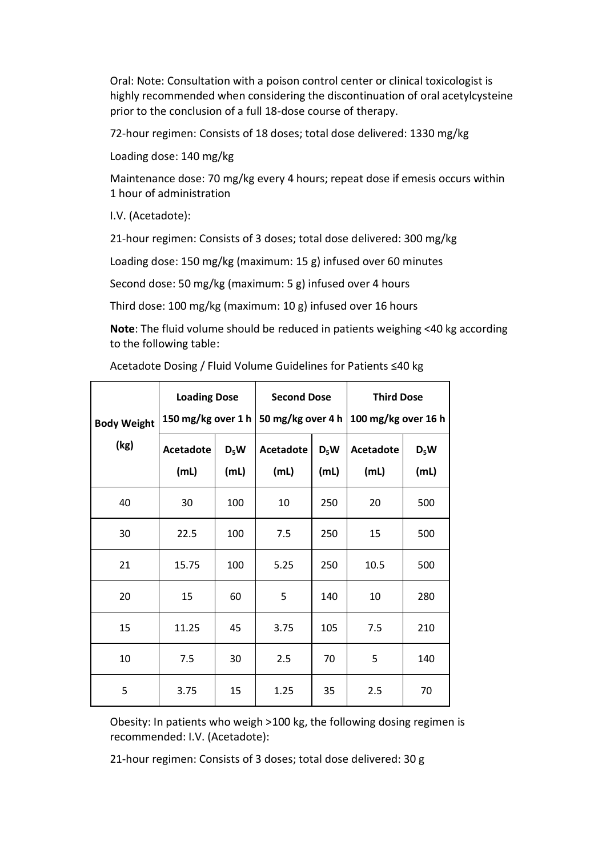Oral: Note: Consultation with a poison control center or clinical toxicologist is highly recommended when considering the discontinuation of oral acetylcysteine prior to the conclusion of a full 18-dose course of therapy.

72-hour regimen: Consists of 18 doses; total dose delivered: 1330 mg/kg

Loading dose: 140 mg/kg

Maintenance dose: 70 mg/kg every 4 hours; repeat dose if emesis occurs within 1 hour of administration

I.V. (Acetadote):

21-hour regimen: Consists of 3 doses; total dose delivered: 300 mg/kg

Loading dose: 150 mg/kg (maximum: 15 g) infused over 60 minutes

Second dose: 50 mg/kg (maximum: 5 g) infused over 4 hours

Third dose: 100 mg/kg (maximum: 10 g) infused over 16 hours

**Note**: The fluid volume should be reduced in patients weighing <40 kg according to the following table:

| <b>Body Weight</b><br>(kg) | <b>Loading Dose</b><br>150 mg/kg over 1 h |                | <b>Second Dose</b> |                | <b>Third Dose</b><br>50 mg/kg over 4 h   100 mg/kg over 16 h |                |
|----------------------------|-------------------------------------------|----------------|--------------------|----------------|--------------------------------------------------------------|----------------|
|                            | <b>Acetadote</b><br>(mL)                  | $D_5W$<br>(mL) | Acetadote<br>(mL)  | $D_5W$<br>(mL) | Acetadote<br>(mL)                                            | $D_5W$<br>(mL) |
| 40                         | 30                                        | 100            | 10                 | 250            | 20                                                           | 500            |
| 30                         | 22.5                                      | 100            | 7.5                | 250            | 15                                                           | 500            |
| 21                         | 15.75                                     | 100            | 5.25               | 250            | 10.5                                                         | 500            |
| 20                         | 15                                        | 60             | 5                  | 140            | 10                                                           | 280            |
| 15                         | 11.25                                     | 45             | 3.75               | 105            | 7.5                                                          | 210            |
| 10                         | 7.5                                       | 30             | 2.5                | 70             | 5                                                            | 140            |
| 5                          | 3.75                                      | 15             | 1.25               | 35             | 2.5                                                          | 70             |

Acetadote Dosing / Fluid Volume Guidelines for Patients ≤40 kg

Obesity: In patients who weigh >100 kg, the following dosing regimen is recommended: I.V. (Acetadote):

21-hour regimen: Consists of 3 doses; total dose delivered: 30 g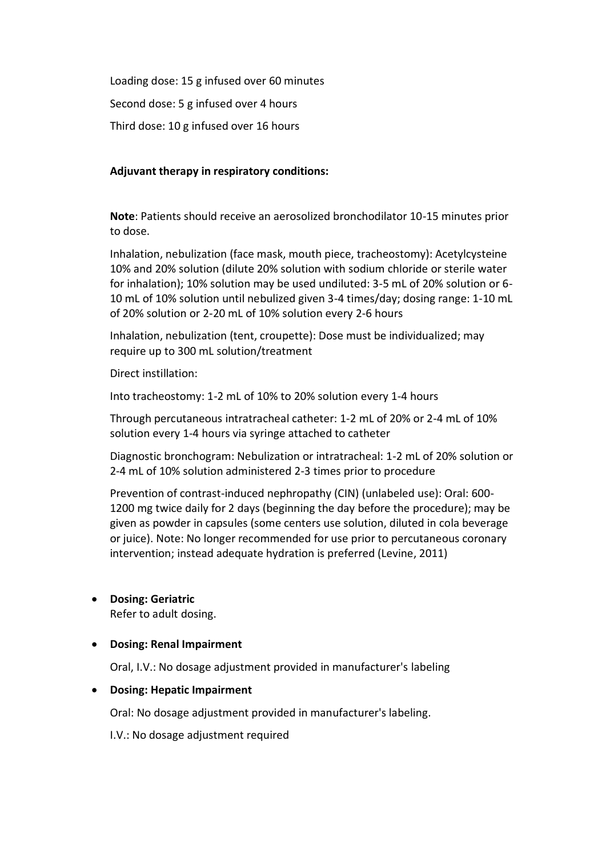Loading dose: 15 g infused over 60 minutes Second dose: 5 g infused over 4 hours Third dose: 10 g infused over 16 hours

## **Adjuvant therapy in respiratory conditions:**

**Note**: Patients should receive an aerosolized bronchodilator 10-15 minutes prior to dose.

Inhalation, nebulization (face mask, mouth piece, tracheostomy): Acetylcysteine 10% and 20% solution (dilute 20% solution with sodium chloride or sterile water for inhalation); 10% solution may be used undiluted: 3-5 mL of 20% solution or 6- 10 mL of 10% solution until nebulized given 3-4 times/day; dosing range: 1-10 mL of 20% solution or 2-20 mL of 10% solution every 2-6 hours

Inhalation, nebulization (tent, croupette): Dose must be individualized; may require up to 300 mL solution/treatment

Direct instillation:

Into tracheostomy: 1-2 mL of 10% to 20% solution every 1-4 hours

Through percutaneous intratracheal catheter: 1-2 mL of 20% or 2-4 mL of 10% solution every 1-4 hours via syringe attached to catheter

Diagnostic bronchogram: Nebulization or intratracheal: 1-2 mL of 20% solution or 2-4 mL of 10% solution administered 2-3 times prior to procedure

Prevention of contrast-induced nephropathy (CIN) (unlabeled use): Oral: 600- 1200 mg twice daily for 2 days (beginning the day before the procedure); may be given as powder in capsules (some centers use solution, diluted in cola beverage or juice). Note: No longer recommended for use prior to percutaneous coronary intervention; instead adequate hydration is preferred (Levine, 2011)

### **Dosing: Geriatric**

Refer to adult dosing.

### **Dosing: Renal Impairment**

Oral, I.V.: No dosage adjustment provided in manufacturer's labeling

### **Dosing: Hepatic Impairment**

Oral: No dosage adjustment provided in manufacturer's labeling.

I.V.: No dosage adjustment required